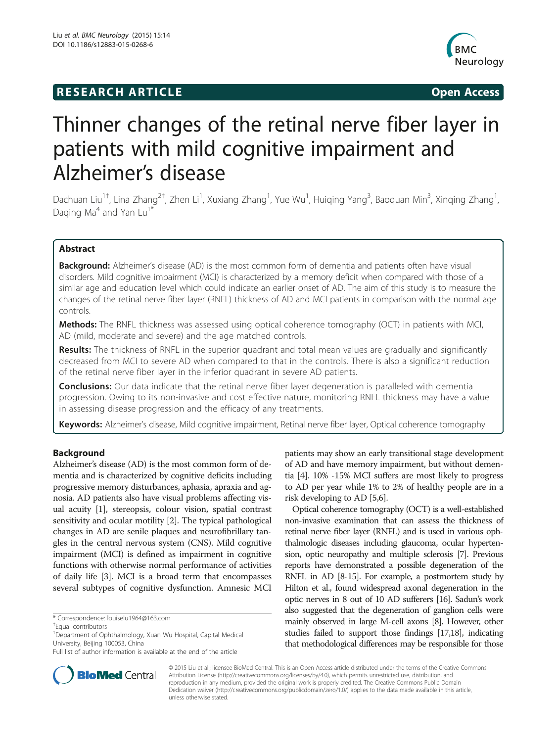## **RESEARCH ARTICLE Example 2014 CONSIDERING CONSIDERING CONSIDERING CONSIDERING CONSIDERING CONSIDERING CONSIDERING CONSIDERING CONSIDERING CONSIDERING CONSIDERING CONSIDERING CONSIDERING CONSIDERING CONSIDERING CONSIDE**



# Thinner changes of the retinal nerve fiber layer in patients with mild cognitive impairment and Alzheimer's disease

Dachuan Liu<sup>1†</sup>, Lina Zhang<sup>2†</sup>, Zhen Li<sup>1</sup>, Xuxiang Zhang<sup>1</sup>, Yue Wu<sup>1</sup>, Huiqing Yang<sup>3</sup>, Baoquan Min<sup>3</sup>, Xinqing Zhang<sup>1</sup> , Daging Ma<sup>4</sup> and Yan Lu<sup>1</sup>

## Abstract

**Background:** Alzheimer's disease (AD) is the most common form of dementia and patients often have visual disorders. Mild cognitive impairment (MCI) is characterized by a memory deficit when compared with those of a similar age and education level which could indicate an earlier onset of AD. The aim of this study is to measure the changes of the retinal nerve fiber layer (RNFL) thickness of AD and MCI patients in comparison with the normal age controls.

Methods: The RNFL thickness was assessed using optical coherence tomography (OCT) in patients with MCI, AD (mild, moderate and severe) and the age matched controls.

Results: The thickness of RNFL in the superior quadrant and total mean values are gradually and significantly decreased from MCI to severe AD when compared to that in the controls. There is also a significant reduction of the retinal nerve fiber layer in the inferior quadrant in severe AD patients.

**Conclusions:** Our data indicate that the retinal nerve fiber layer degeneration is paralleled with dementia progression. Owing to its non-invasive and cost effective nature, monitoring RNFL thickness may have a value in assessing disease progression and the efficacy of any treatments.

Keywords: Alzheimer's disease, Mild cognitive impairment, Retinal nerve fiber layer, Optical coherence tomography

## Background

Alzheimer's disease (AD) is the most common form of dementia and is characterized by cognitive deficits including progressive memory disturbances, aphasia, apraxia and agnosia. AD patients also have visual problems affecting visual acuity [\[1](#page-3-0)], stereopsis, colour vision, spatial contrast sensitivity and ocular motility [\[2](#page-3-0)]. The typical pathological changes in AD are senile plaques and neurofibrillary tangles in the central nervous system (CNS). Mild cognitive impairment (MCI) is defined as impairment in cognitive functions with otherwise normal performance of activities of daily life [\[3](#page-3-0)]. MCI is a broad term that encompasses several subtypes of cognitive dysfunction. Amnesic MCI

patients may show an early transitional stage development of AD and have memory impairment, but without dementia [\[4](#page-3-0)]. 10% -15% MCI suffers are most likely to progress to AD per year while 1% to 2% of healthy people are in a risk developing to AD [\[5,6](#page-3-0)].

Optical coherence tomography (OCT) is a well-established non-invasive examination that can assess the thickness of retinal nerve fiber layer (RNFL) and is used in various ophthalmologic diseases including glaucoma, ocular hypertension, optic neuropathy and multiple sclerosis [[7](#page-3-0)]. Previous reports have demonstrated a possible degeneration of the RNFL in AD [\[8-15](#page-4-0)]. For example, a postmortem study by Hilton et al., found widespread axonal degeneration in the optic nerves in 8 out of 10 AD sufferers [\[16\]](#page-4-0). Sadun's work also suggested that the degeneration of ganglion cells were mainly observed in large M-cell axons [\[8](#page-4-0)]. However, other studies failed to support those findings [\[17,18](#page-4-0)], indicating that methodological differences may be responsible for those



© 2015 Liu et al.; licensee BioMed Central. This is an Open Access article distributed under the terms of the Creative Commons Attribution License (<http://creativecommons.org/licenses/by/4.0>), which permits unrestricted use, distribution, and reproduction in any medium, provided the original work is properly credited. The Creative Commons Public Domain Dedication waiver [\(http://creativecommons.org/publicdomain/zero/1.0/](http://creativecommons.org/publicdomain/zero/1.0/)) applies to the data made available in this article, unless otherwise stated.

<sup>\*</sup> Correspondence: [louiselu1964@163.com](mailto:louiselu1964@163.com) †

Equal contributors

<sup>&</sup>lt;sup>1</sup> Department of Ophthalmology, Xuan Wu Hospital, Capital Medical University, Beijing 100053, China

Full list of author information is available at the end of the article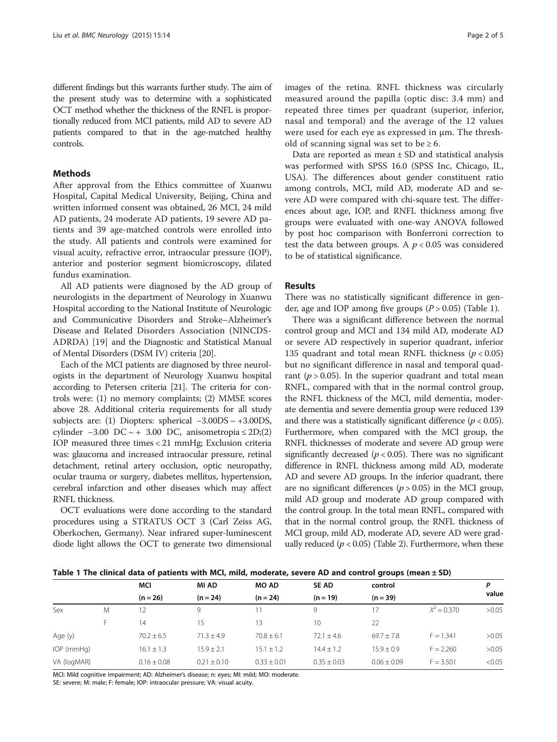different findings but this warrants further study. The aim of the present study was to determine with a sophisticated OCT method whether the thickness of the RNFL is proportionally reduced from MCI patients, mild AD to severe AD patients compared to that in the age-matched healthy controls.

## Methods

After approval from the Ethics committee of Xuanwu Hospital, Capital Medical University, Beijing, China and written informed consent was obtained, 26 MCI, 24 mild AD patients, 24 moderate AD patients, 19 severe AD patients and 39 age-matched controls were enrolled into the study. All patients and controls were examined for visual acuity, refractive error, intraocular pressure (IOP), anterior and posterior segment biomicroscopy, dilated fundus examination.

All AD patients were diagnosed by the AD group of neurologists in the department of Neurology in Xuanwu Hospital according to the National Institute of Neurologic and Communicative Disorders and Stroke–Alzheimer's Disease and Related Disorders Association (NINCDS-ADRDA) [[19](#page-4-0)] and the Diagnostic and Statistical Manual of Mental Disorders (DSM IV) criteria [[20\]](#page-4-0).

Each of the MCI patients are diagnosed by three neurologists in the department of Neurology Xuanwu hospital according to Petersen criteria [[21](#page-4-0)]. The criteria for controls were: (1) no memory complaints; (2) MMSE scores above 28. Additional criteria requirements for all study subjects are: (1) Diopters: spherical −3.00DS ~ +3.00DS, cylinder  $-3.00$  DC  $\sim +3.00$  DC, anisometropia  $\leq 2D(2)$ IOP measured three times < 21 mmHg; Exclusion criteria was: glaucoma and increased intraocular pressure, retinal detachment, retinal artery occlusion, optic neuropathy, ocular trauma or surgery, diabetes mellitus, hypertension, cerebral infarction and other diseases which may affect RNFL thickness.

OCT evaluations were done according to the standard procedures using a STRATUS OCT 3 (Carl Zeiss AG, Oberkochen, Germany). Near infrared super-luminescent diode light allows the OCT to generate two dimensional images of the retina. RNFL thickness was circularly measured around the papilla (optic disc: 3.4 mm) and repeated three times per quadrant (superior, inferior, nasal and temporal) and the average of the 12 values were used for each eye as expressed in μm. The threshold of scanning signal was set to be  $\geq 6$ .

Data are reported as mean ± SD and statistical analysis was performed with SPSS 16.0 (SPSS Inc, Chicago, IL, USA). The differences about gender constituent ratio among controls, MCI, mild AD, moderate AD and severe AD were compared with chi-square test. The differences about age, IOP, and RNFL thickness among five groups were evaluated with one-way ANOVA followed by post hoc comparison with Bonferroni correction to test the data between groups. A  $p < 0.05$  was considered to be of statistical significance.

## Results

There was no statistically significant difference in gender, age and IOP among five groups  $(P > 0.05)$  (Table 1).

There was a significant difference between the normal control group and MCI and 134 mild AD, moderate AD or severe AD respectively in superior quadrant, inferior 135 quadrant and total mean RNFL thickness ( $p < 0.05$ ) but no significant difference in nasal and temporal quadrant ( $p > 0.05$ ). In the superior quadrant and total mean RNFL, compared with that in the normal control group, the RNFL thickness of the MCI, mild dementia, moderate dementia and severe dementia group were reduced 139 and there was a statistically significant difference  $(p < 0.05)$ . Furthermore, when compared with the MCI group, the RNFL thicknesses of moderate and severe AD group were significantly decreased ( $p < 0.05$ ). There was no significant difference in RNFL thickness among mild AD, moderate AD and severe AD groups. In the inferior quadrant, there are no significant differences ( $p > 0.05$ ) in the MCI group, mild AD group and moderate AD group compared with the control group. In the total mean RNFL, compared with that in the normal control group, the RNFL thickness of MCI group, mild AD, moderate AD, severe AD were gradually reduced ( $p < 0.05$ ) (Table [2](#page-2-0)). Furthermore, when these

|                  |    | MCI             | MI AD<br>$(n = 24)$ | <b>MO AD</b><br>$(n = 24)$ | SE AD<br>$(n = 19)$ | control         |               | P<br>value |
|------------------|----|-----------------|---------------------|----------------------------|---------------------|-----------------|---------------|------------|
|                  |    | $(n = 26)$      |                     |                            |                     | $(n = 39)$      |               |            |
| Sex              | M  | $\mathcal{P}$   | 9                   |                            | 9                   | 17              | $X^2 = 0.370$ | >0.05      |
|                  | E. | 14              | 15                  | 13                         | 10                  | 22              |               |            |
| Age (y)          |    | $70.2 \pm 6.5$  | $71.3 + 4.9$        | $70.8 + 6.1$               | $72.1 + 4.6$        | $69.7 + 7.8$    | $F = 1.341$   | >0.05      |
| $IOP$ (mm $Hq$ ) |    | $16.1 \pm 1.3$  | $15.9 \pm 2.1$      | $15.1 \pm 1.2$             | $14.4 \pm 1.2$      | $15.9 + 0.9$    | $F = 2.260$   | >0.05      |
| VA (logMAR)      |    | $0.16 \pm 0.08$ | $0.21 \pm 0.10$     | $0.33 \pm 0.01$            | $0.35 \pm 0.03$     | $0.06 \pm 0.09$ | $F = 3.501$   | < 0.05     |

Table 1 The clinical data of patients with MCI, mild, moderate, severe AD and control groups (mean ± SD)

MCI: Mild cognitive impairment; AD: Alzheimer's disease; n: eyes; MI: mild; MO: moderate.

SE: severe; M: male; F: female; IOP: intraocular pressure; VA: visual acuity.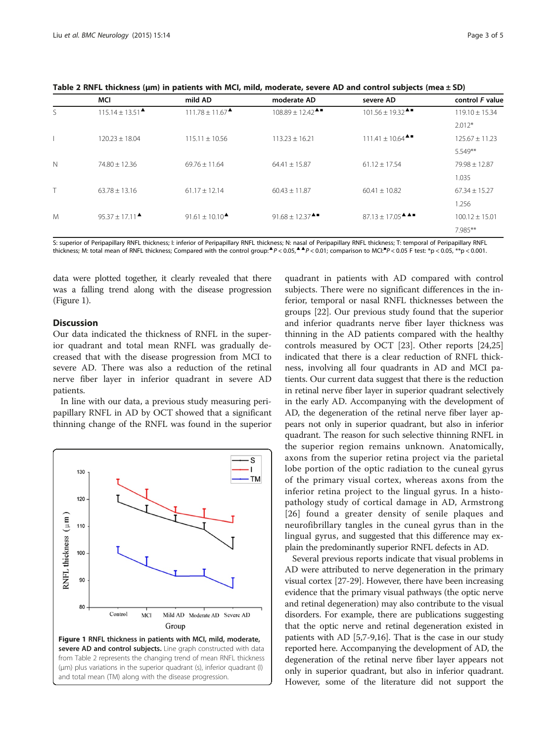<span id="page-2-0"></span>Table 2 RNFL thickness (μm) in patients with MCI, mild, moderate, severe AD and control subjects (mea ± SD)

|             | MCI                                                  | mild AD                                              | moderate AD                                          | severe AD                                                                                           | control F value    |
|-------------|------------------------------------------------------|------------------------------------------------------|------------------------------------------------------|-----------------------------------------------------------------------------------------------------|--------------------|
| S.          | $115.14 \pm 13.51$ <sup><math>\triangle</math></sup> | $111.78 \pm 11.67$ <sup><math>\triangle</math></sup> | $108.89 \pm 12.42$ <sup><math>\triangle</math></sup> | $101.56 \pm 19.32$ <sup>A</sup>                                                                     | $119.10 \pm 15.34$ |
|             |                                                      |                                                      |                                                      |                                                                                                     | $2.012*$           |
|             | $120.23 \pm 18.04$                                   | $115.11 \pm 10.56$                                   | $113.23 \pm 16.21$                                   | $111.41 \pm 10.64$ <sup><math>\triangle</math></sup>                                                | $125.67 \pm 11.23$ |
|             |                                                      |                                                      |                                                      |                                                                                                     | $5.549**$          |
| $\mathbb N$ | $74.80 \pm 12.36$                                    | $69.76 \pm 11.64$                                    | $64.41 \pm 15.87$                                    | $61.12 \pm 17.54$                                                                                   | $79.98 \pm 12.87$  |
|             |                                                      |                                                      |                                                      |                                                                                                     | 1.035              |
| Τ           | $63.78 \pm 13.16$                                    | $61.17 \pm 12.14$                                    | $60.43 \pm 11.87$                                    | $60.41 \pm 10.82$                                                                                   | $67.34 \pm 15.27$  |
|             |                                                      |                                                      |                                                      |                                                                                                     | 1.256              |
| M           | $95.37 + 17.11$ <sup><math>\triangle</math></sup>    | $91.61 + 10.10^{\triangle}$                          | 91.68 ± 12.37 $^{\triangle}$                         | $87.13 \pm 17.05$ <sup><math>\triangle</math><math>\triangle</math> <math>\blacksquare</math></sup> | $100.12 \pm 15.01$ |
|             |                                                      |                                                      |                                                      |                                                                                                     | 7.985**            |

S: superior of Peripapillary RNFL thickness; I: inferior of Peripapillary RNFL thickness; N: nasal of Peripapillary RNFL thickness; T: temporal of Peripapillary RNFL thickness; M: total mean of RNFL thickness; Compared with the control group:▲P < 0.05,▲▲P < 0.01; comparison to MCI:■P < 0.05 F test: \*p < 0.05, \*\*p < 0.001.

data were plotted together, it clearly revealed that there was a falling trend along with the disease progression (Figure 1).

## **Discussion**

Our data indicated the thickness of RNFL in the superior quadrant and total mean RNFL was gradually decreased that with the disease progression from MCI to severe AD. There was also a reduction of the retinal nerve fiber layer in inferior quadrant in severe AD patients.

In line with our data, a previous study measuring peripapillary RNFL in AD by OCT showed that a significant thinning change of the RNFL was found in the superior



quadrant in patients with AD compared with control subjects. There were no significant differences in the inferior, temporal or nasal RNFL thicknesses between the groups [\[22\]](#page-4-0). Our previous study found that the superior and inferior quadrants nerve fiber layer thickness was thinning in the AD patients compared with the healthy controls measured by OCT [[23\]](#page-4-0). Other reports [[24](#page-4-0),[25](#page-4-0)] indicated that there is a clear reduction of RNFL thickness, involving all four quadrants in AD and MCI patients. Our current data suggest that there is the reduction in retinal nerve fiber layer in superior quadrant selectively in the early AD. Accompanying with the development of AD, the degeneration of the retinal nerve fiber layer appears not only in superior quadrant, but also in inferior quadrant. The reason for such selective thinning RNFL in the superior region remains unknown. Anatomically, axons from the superior retina project via the parietal lobe portion of the optic radiation to the cuneal gyrus of the primary visual cortex, whereas axons from the inferior retina project to the lingual gyrus. In a histopathology study of cortical damage in AD, Armstrong [[26](#page-4-0)] found a greater density of senile plaques and neurofibrillary tangles in the cuneal gyrus than in the lingual gyrus, and suggested that this difference may explain the predominantly superior RNFL defects in AD.

Several previous reports indicate that visual problems in AD were attributed to nerve degeneration in the primary visual cortex [\[27-29\]](#page-4-0). However, there have been increasing evidence that the primary visual pathways (the optic nerve and retinal degeneration) may also contribute to the visual disorders. For example, there are publications suggesting that the optic nerve and retinal degeneration existed in patients with AD [[5,7](#page-3-0)[-9,16](#page-4-0)]. That is the case in our study reported here. Accompanying the development of AD, the degeneration of the retinal nerve fiber layer appears not only in superior quadrant, but also in inferior quadrant. However, some of the literature did not support the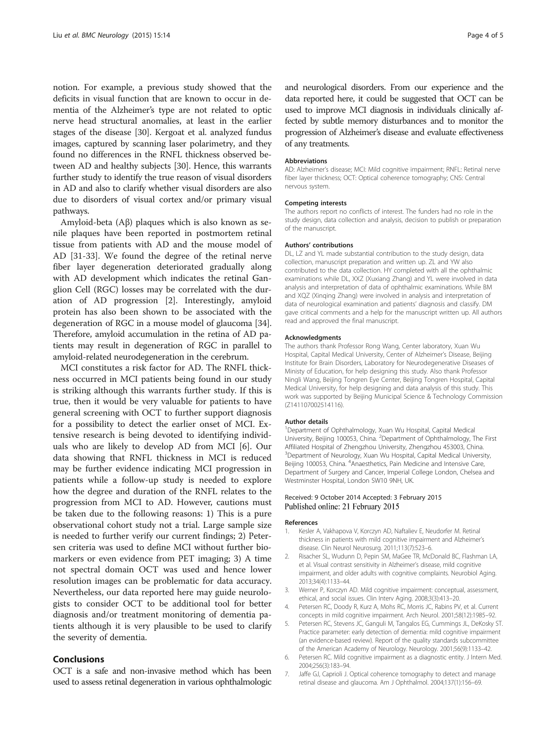<span id="page-3-0"></span>notion. For example, a previous study showed that the deficits in visual function that are known to occur in dementia of the Alzheimer's type are not related to optic nerve head structural anomalies, at least in the earlier stages of the disease [\[30\]](#page-4-0). Kergoat et al. analyzed fundus images, captured by scanning laser polarimetry, and they found no differences in the RNFL thickness observed between AD and healthy subjects [\[30\]](#page-4-0). Hence, this warrants further study to identify the true reason of visual disorders in AD and also to clarify whether visual disorders are also due to disorders of visual cortex and/or primary visual pathways.

Amyloid-beta (Aβ) plaques which is also known as senile plaques have been reported in postmortem retinal tissue from patients with AD and the mouse model of AD [\[31](#page-4-0)-[33\]](#page-4-0). We found the degree of the retinal nerve fiber layer degeneration deteriorated gradually along with AD development which indicates the retinal Ganglion Cell (RGC) losses may be correlated with the duration of AD progression [2]. Interestingly, amyloid protein has also been shown to be associated with the degeneration of RGC in a mouse model of glaucoma [[34](#page-4-0)]. Therefore, amyloid accumulation in the retina of AD patients may result in degeneration of RGC in parallel to amyloid-related neurodegeneration in the cerebrum.

MCI constitutes a risk factor for AD. The RNFL thickness occurred in MCI patients being found in our study is striking although this warrants further study. If this is true, then it would be very valuable for patients to have general screening with OCT to further support diagnosis for a possibility to detect the earlier onset of MCI. Extensive research is being devoted to identifying individuals who are likely to develop AD from MCI [6]. Our data showing that RNFL thickness in MCI is reduced may be further evidence indicating MCI progression in patients while a follow-up study is needed to explore how the degree and duration of the RNFL relates to the progression from MCI to AD. However, cautions must be taken due to the following reasons: 1) This is a pure observational cohort study not a trial. Large sample size is needed to further verify our current findings; 2) Petersen criteria was used to define MCI without further biomarkers or even evidence from PET imaging; 3) A time not spectral domain OCT was used and hence lower resolution images can be problematic for data accuracy. Nevertheless, our data reported here may guide neurologists to consider OCT to be additional tool for better diagnosis and/or treatment monitoring of dementia patients although it is very plausible to be used to clarify the severity of dementia.

## Conclusions

OCT is a safe and non-invasive method which has been used to assess retinal degeneration in various ophthalmologic and neurological disorders. From our experience and the data reported here, it could be suggested that OCT can be used to improve MCI diagnosis in individuals clinically affected by subtle memory disturbances and to monitor the progression of Alzheimer's disease and evaluate effectiveness of any treatments.

#### Abbreviations

AD: Alzheimer's disease; MCI: Mild cognitive impairment; RNFL: Retinal nerve fiber layer thickness; OCT: Optical coherence tomography; CNS: Central nervous system.

#### Competing interests

The authors report no conflicts of interest. The funders had no role in the study design, data collection and analysis, decision to publish or preparation of the manuscript.

#### Authors' contributions

DL, LZ and YL made substantial contribution to the study design, data collection, manuscript preparation and written up. ZL and YW also contributed to the data collection. HY completed with all the ophthalmic examinations while DL, XXZ (Xuxiang Zhang) and YL were involved in data analysis and interpretation of data of ophthalmic examinations. While BM and XQZ (Xinqing Zhang) were involved in analysis and interpretation of data of neurological examination and patients' diagnosis and classify. DM gave critical comments and a help for the manuscript written up. All authors read and approved the final manuscript.

#### Acknowledgments

The authors thank Professor Rong Wang, Center laboratory, Xuan Wu Hospital, Capital Medical University, Center of Alzheimer's Disease, Beijing Institute for Brain Disorders, Laboratory for Neurodegenerative Diseases of Ministy of Education, for help designing this study. Also thank Professor Ningli Wang, Beijing Tongren Eye Center, Beijing Tongren Hospital, Capital Medical University, for help designing and data analysis of this study. This work was supported by Beijing Municipal Science & Technology Commission (Z141107002514116).

#### Author details

1 Department of Ophthalmology, Xuan Wu Hospital, Capital Medical University, Beijing 100053, China. <sup>2</sup>Department of Ophthalmology, The First Affiliated Hospital of Zhengzhou University, Zhengzhou 453003, China. <sup>3</sup> Department of Neurology, Xuan Wu Hospital, Capital Medical University, Beijing 100053, China. <sup>4</sup>Anaesthetics, Pain Medicine and Intensive Care, Department of Surgery and Cancer, Imperial College London, Chelsea and Westminster Hospital, London SW10 9NH, UK.

#### Received: 9 October 2014 Accepted: 3 February 2015 Published online: 21 February 2015

#### References

- Kesler A, Vakhapova V, Korczyn AD, Naftaliev E, Neudorfer M. Retinal thickness in patients with mild cognitive impairment and Alzheimer's disease. Clin Neurol Neurosurg. 2011;113(7):523–6.
- 2. Risacher SL, Wudunn D, Pepin SM, MaGee TR, McDonald BC, Flashman LA, et al. Visual contrast sensitivity in Alzheimer's disease, mild cognitive impairment, and older adults with cognitive complaints. Neurobiol Aging. 2013;34(4):1133–44.
- 3. Werner P, Korczyn AD. Mild cognitive impairment: conceptual, assessment, ethical, and social issues. Clin Interv Aging. 2008;3(3):413–20.
- 4. Petersen RC, Doody R, Kurz A, Mohs RC, Morris JC, Rabins PV, et al. Current concepts in mild cognitive impairment. Arch Neurol. 2001;58(12):1985–92.
- 5. Petersen RC, Stevens JC, Ganguli M, Tangalos EG, Cummings JL, DeKosky ST. Practice parameter: early detection of dementia: mild cognitive impairment (an evidence-based review). Report of the quality standards subcommittee of the American Academy of Neurology. Neurology. 2001;56(9):1133–42.
- 6. Petersen RC. Mild cognitive impairment as a diagnostic entity. J Intern Med. 2004;256(3):183–94.
- 7. Jaffe GJ, Caprioli J. Optical coherence tomography to detect and manage retinal disease and glaucoma. Am J Ophthalmol. 2004;137(1):156–69.